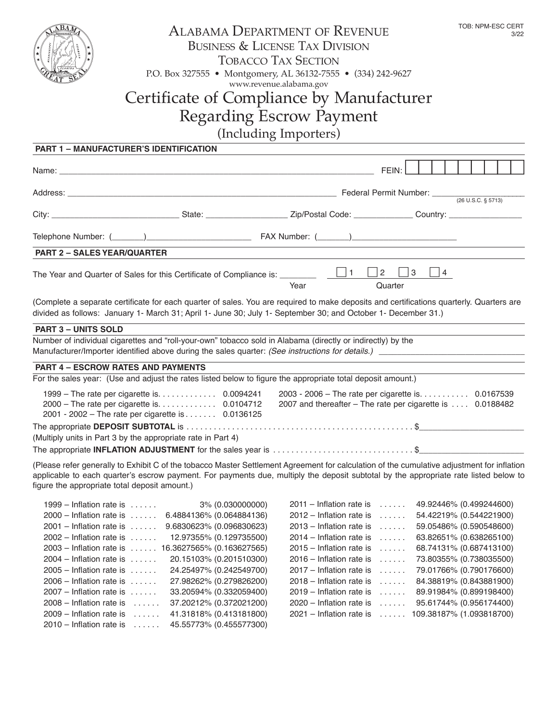| λВΑ                                                      | <b>ALABAMA DEPARTMENT OF REVENUE</b><br><b>BUSINESS &amp; LICENSE TAX DIVISION</b><br><b>TOBACCO TAX SECTION</b><br>P.O. Box 327555 • Montgomery, AL 36132-7555 • (334) 242-9627<br>www.revenue.alabama.gov                                                                        |      |                                                        |                                            | TOB: NPM-ESC CERT<br>3/22 |                                                                                                                  |  |  |
|----------------------------------------------------------|------------------------------------------------------------------------------------------------------------------------------------------------------------------------------------------------------------------------------------------------------------------------------------|------|--------------------------------------------------------|--------------------------------------------|---------------------------|------------------------------------------------------------------------------------------------------------------|--|--|
| Certificate of Compliance by Manufacturer                |                                                                                                                                                                                                                                                                                    |      |                                                        |                                            |                           |                                                                                                                  |  |  |
| <b>Regarding Escrow Payment</b>                          |                                                                                                                                                                                                                                                                                    |      |                                                        |                                            |                           |                                                                                                                  |  |  |
| (Including Importers)                                    |                                                                                                                                                                                                                                                                                    |      |                                                        |                                            |                           |                                                                                                                  |  |  |
| <b>PART 1 - MANUFACTURER'S IDENTIFICATION</b>            |                                                                                                                                                                                                                                                                                    |      |                                                        |                                            |                           |                                                                                                                  |  |  |
|                                                          |                                                                                                                                                                                                                                                                                    |      |                                                        |                                            |                           |                                                                                                                  |  |  |
|                                                          |                                                                                                                                                                                                                                                                                    |      |                                                        | FEIN:                                      |                           |                                                                                                                  |  |  |
|                                                          | Address: <u>Contract Communication</u> Contract Communication Contract Communication Contract Communication Contract Communication Contract Communication Communication Communication Communication Communication Communication Com                                                |      |                                                        |                                            |                           |                                                                                                                  |  |  |
|                                                          |                                                                                                                                                                                                                                                                                    |      |                                                        |                                            |                           |                                                                                                                  |  |  |
|                                                          |                                                                                                                                                                                                                                                                                    |      |                                                        |                                            |                           |                                                                                                                  |  |  |
| <b>PART 2 - SALES YEAR/QUARTER</b>                       |                                                                                                                                                                                                                                                                                    |      |                                                        |                                            |                           |                                                                                                                  |  |  |
|                                                          |                                                                                                                                                                                                                                                                                    | Year |                                                        | Quarter                                    | $\Box$ 4                  |                                                                                                                  |  |  |
|                                                          | (Complete a separate certificate for each quarter of sales. You are required to make deposits and certifications quarterly. Quarters are<br>divided as follows: January 1- March 31; April 1- June 30; July 1- September 30; and October 1- December 31.)                          |      |                                                        |                                            |                           |                                                                                                                  |  |  |
| <b>PART 3 - UNITS SOLD</b>                               |                                                                                                                                                                                                                                                                                    |      |                                                        |                                            |                           |                                                                                                                  |  |  |
|                                                          | Number of individual cigarettes and "roll-your-own" tobacco sold in Alabama (directly or indirectly) by the                                                                                                                                                                        |      |                                                        |                                            |                           |                                                                                                                  |  |  |
| <b>PART 4 - ESCROW RATES AND PAYMENTS</b>                |                                                                                                                                                                                                                                                                                    |      |                                                        |                                            |                           |                                                                                                                  |  |  |
|                                                          | For the sales year: (Use and adjust the rates listed below to figure the appropriate total deposit amount.)                                                                                                                                                                        |      |                                                        |                                            |                           |                                                                                                                  |  |  |
|                                                          | 2000 - The rate per cigarette is. 0.0104712<br>2001 - 2002 - The rate per cigarette is 0.0136125                                                                                                                                                                                   |      |                                                        |                                            |                           | 2003 - 2006 - The rate per cigarette is. 0.0167539<br>2007 and thereafter - The rate per cigarette is  0.0188482 |  |  |
|                                                          | (Multiply units in Part 3 by the appropriate rate in Part 4)                                                                                                                                                                                                                       |      |                                                        |                                            |                           |                                                                                                                  |  |  |
|                                                          | The appropriate INFLATION ADJUSTMENT for the sales year is \$                                                                                                                                                                                                                      |      |                                                        |                                            |                           |                                                                                                                  |  |  |
| figure the appropriate total deposit amount.)            | (Please refer generally to Exhibit C of the tobacco Master Settlement Agreement for calculation of the cumulative adjustment for inflation<br>applicable to each quarter's escrow payment. For payments due, multiply the deposit subtotal by the appropriate rate listed below to |      |                                                        |                                            |                           |                                                                                                                  |  |  |
| $1999$ – Inflation rate is<br>$2000$ – Inflation rate is | 3% (0.030000000)<br>6.4884136% (0.064884136)                                                                                                                                                                                                                                       |      | $2011$ – Inflation rate is<br>2012 – Inflation rate is | $\sim$ 100 km s $^{-1}$<br><b>Carlo La</b> |                           | 49.92446% (0.499244600)<br>54.42219% (0.544221900)                                                               |  |  |
| $2001$ – Inflation rate is                               | 9.6830623% (0.096830623)                                                                                                                                                                                                                                                           |      | $2013$ – Inflation rate is $\dots$ .                   |                                            |                           | 59.05486% (0.590548600)                                                                                          |  |  |
| $2002$ – Inflation rate is $\dots$ .                     | 12.97355% (0.129735500)                                                                                                                                                                                                                                                            |      | $2014$ – Inflation rate is $\dots$                     |                                            |                           | 63.82651% (0.638265100)                                                                                          |  |  |
|                                                          | 2003 - Inflation rate is  16.3627565% (0.163627565)                                                                                                                                                                                                                                |      | $2015$ – Inflation rate is $\dots$                     |                                            |                           | 68.74131% (0.687413100)                                                                                          |  |  |
| $2004$ – Inflation rate is $\dots$ .                     | 20.15103% (0.201510300)                                                                                                                                                                                                                                                            |      | $2016$ – Inflation rate is $\dots$                     |                                            |                           | 73.80355% (0.738035500)                                                                                          |  |  |
| $2005$ – Inflation rate is $\dots$ .                     | 24.25497% (0.242549700)                                                                                                                                                                                                                                                            |      | $2017$ – Inflation rate is $\dots$                     |                                            |                           | 79.01766% (0.790176600)                                                                                          |  |  |
| $2006$ – Inflation rate is $\dots$ .                     | 27.98262% (0.279826200)                                                                                                                                                                                                                                                            |      | $2018$ – Inflation rate is $\dots$                     |                                            |                           | 84.38819% (0.843881900)                                                                                          |  |  |
| $2007$ – Inflation rate is $\dots$ .                     | 33.20594% (0.332059400)                                                                                                                                                                                                                                                            |      | $2019$ – Inflation rate is $\dots$                     |                                            |                           | 89.91984% (0.899198400)                                                                                          |  |  |
| $2008$ – Inflation rate is $\dots$ .                     | 37.20212% (0.372021200)                                                                                                                                                                                                                                                            |      | $2020$ – Inflation rate is $\dots$ .                   |                                            |                           | 95.61744% (0.956174400)                                                                                          |  |  |

2021 – Inflation rate is ...... 109.38187% (1.093818700)

2009 – Inflation rate is ...... 41.31818% (0.413181800) 2010 – Inflation rate is ...... 45.55773% (0.455577300)